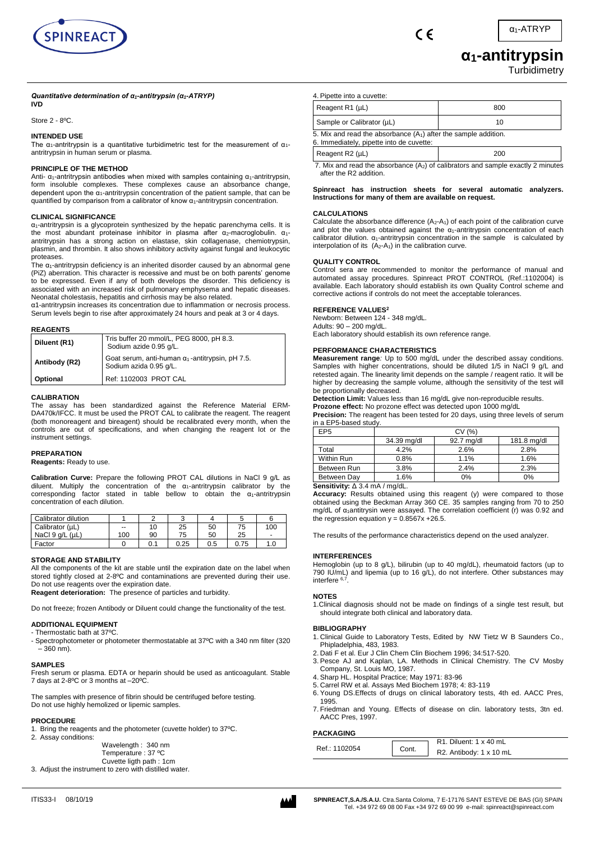

 $\epsilon$ 

# **α1-antitrypsin**

**Turbidimetry** 

#### *Quantitative determination of α1-antitrypsin (α1-ATRYP)* **IVD**

Store 2 - 8ºC.

# **INTENDED USE**

The  $\alpha_1$ -antritrypsin is a quantitative turbidimetric test for the measurement of  $\alpha_1$ antritrypsin in human serum or plasma.

### **PRINCIPLE OF THE METHOD**

Anti-  $\alpha_1$ -antritrypsin antibodies when mixed with samples containing  $\alpha_1$ -antritrypsin, form insoluble complexes. These complexes cause an absorbance change, dependent upon the  $\alpha_1$ -antritrypsin concentration of the patient sample, that can be quantified by comparison from a calibrator of know  $\alpha_1$ -antritrypsin concentration.

#### **CLINICAL SIGNIFICANCE**

 $\alpha_1$ -antritrypsin is a glycoprotein synthesized by the hepatic parenchyma cells. It is the most abundant proteinase inhibitor in plasma after  $\alpha_2$ -macroglobulin.  $\alpha_1$ antritrypsin has a strong action on elastase, skin collagenase, chemiotrypsin, plasmin, and thrombin. It also shows inhibitory activity against fungal and leukocytic proteases.

The  $\alpha_1$ -antritrypsin deficiency is an inherited disorder caused by an abnormal gene (PiZ) aberration. This character is recessive and must be on both parents' genome to be expressed. Even if any of both develops the disorder. This deficiency is associated with an increased risk of pulmonary emphysema and hepatic diseases. Neonatal cholestasis, hepatitis and cirrhosis may be also related.

α1-antritrypsin increases its concentration due to inflammation or necrosis process. Serum levels begin to rise after approximately 24 hours and peak at 3 or 4 days.

#### **REAGENTS**

| Diluent (R1)  | Tris buffer 20 mmol/L, PEG 8000, pH 8.3.<br>Sodium azide 0.95 g/L.                |
|---------------|-----------------------------------------------------------------------------------|
| Antibody (R2) | Goat serum, anti-human $\alpha_1$ -antitrypsin, pH 7.5.<br>Sodium azida 0.95 g/L. |
| Optional      | Ref: 1102003 PROT CAL                                                             |

#### **CALIBRATION**

The assay has been standardized against the Reference Material ERM-DA470k/IFCC. It must be used the PROT CAL to calibrate the reagent. The reagent (both monoreagent and bireagent) should be recalibrated every month, when the controls are out of specifications, and when changing the reagent lot or the instrument settings.

#### **PREPARATION**

### **Reagents:** Ready to use.

**Calibration Curve:** Prepare the following PROT CAL dilutions in NaCl 9 g/L as diluent. Multiply the concentration of the  $\alpha_1$ -antritrypsin calibrator by the corresponding factor stated in table bellow to obtain the  $\alpha_1$ -antritrypsin concentration of each dilution.

| Calibrator dilution     |                          |     |      |     |      |                |
|-------------------------|--------------------------|-----|------|-----|------|----------------|
| Calibrator (µL)         | $\overline{\phantom{a}}$ | 10  | 25   | 50  | 75   | 100            |
| NaCl $9$ q/L ( $\mu$ L) | 100                      | 90  | 75   | 50  | 25   | $\blacksquare$ |
| Factor                  |                          | 0.1 | 0.25 | 0.5 | 0.75 | 1.0            |

#### **STORAGE AND STABILITY**

All the components of the kit are stable until the expiration date on the label when stored tightly closed at 2-8ºC and contaminations are prevented during their use. Do not use reagents over the expiration date. **Reagent deterioration:** The presence of particles and turbidity.

Do not freeze; frozen Antibody or Diluent could change the functionality of the test.

#### **ADDITIONAL EQUIPMENT**

- Thermostatic bath at 37ºC.

- Spectrophotometer or photometer thermostatable at 37ºC with a 340 nm filter (320  $-360$  nm).

#### **SAMPLES**

Fresh serum or plasma. EDTA or heparin should be used as anticoagulant. Stable 7 days at 2-8ºC or 3 months at –20ºC.

The samples with presence of fibrin should be centrifuged before testing. Do not use highly hemolized or lipemic samples.

#### **PROCEDURE**

1. Bring the reagents and the photometer (cuvette holder) to 37ºC. 2. Assay conditions:

Wavelength : 340 nm Temperature : 37 ºC Cuvette ligth path : 1cm

3. Adjust the instrument to zero with distilled water.



| 4. Pipette into a cuvette:                                                                                    |     |  |  |  |  |
|---------------------------------------------------------------------------------------------------------------|-----|--|--|--|--|
| Reagent R1 (µL)                                                                                               | 800 |  |  |  |  |
| Sample or Calibrator (µL)                                                                                     | 10  |  |  |  |  |
| 5. Mix and read the absorbance $(A_1)$ after the sample addition.<br>6. Immediately, pipette into de cuvette: |     |  |  |  |  |
| Reagent R2 (µL)                                                                                               | 200 |  |  |  |  |

7. Mix and read the absorbance  $(A_2)$  of calibrators and sample exactly 2 minutes after the R2 addition.

**Spinreact has instruction sheets for several automatic analyzers. Instructions for many of them are available on request.**

#### **CALCULATIONS**

Calculate the absorbance difference  $(A_2-A_1)$  of each point of the calibration curve and plot the values obtained against the  $\alpha_1$ -antritrypsin concentration of each calibrator dilution.  $\alpha_1$ -antritrypsin concentration in the sample is calculated by interpolation of its  $(A_2-A_1)$  in the calibration curve.

#### **QUALITY CONTROL**

Control sera are recommended to monitor the performance of manual and automated assay procedures. Spinreact PROT CONTROL (Ref.:1102004) is available. Each laboratory should establish its own Quality Control scheme and corrective actions if controls do not meet the acceptable tolerances.

#### **REFERENCE VALUES<sup>2</sup>**

Newborn: Between 124 - 348 mg/dL. Adults: 90 – 200 mg/dL. Each laboratory should establish its own reference range.

#### **PERFORMANCE CHARACTERISTICS**

**Measurement range***:* Up to 500 mg/dL under the described assay conditions. Samples with higher concentrations, should be diluted 1/5 in NaCl 9 g/L and retested again. The linearity limit depends on the sample / reagent ratio. It will be higher by decreasing the sample volume, although the sensitivity of the test will be proportionally decreased.

**Detection Limit:** Values less than 16 mg/dL give non-reproducible results.

**Prozone effect:** No prozone effect was detected upon 1000 mg/dL **Precision:** The reagent has been tested for 20 days, using three levels of serum in a EP5-based study.

| EP <sub>5</sub>           | CV(%)               |            |             |  |  |  |  |
|---------------------------|---------------------|------------|-------------|--|--|--|--|
|                           | 34.39 mg/dl         | 92.7 mg/dl | 181.8 mg/dl |  |  |  |  |
| Total                     | 4.2%                | 2.6%       | 2.8%        |  |  |  |  |
| Within Run                | 0.8%                | 1.1%       | 1.6%        |  |  |  |  |
| Between Run               | 3.8%                | 2.4%       | 2.3%        |  |  |  |  |
| Between Day               | 1.6%                | 0%         | 0%          |  |  |  |  |
| .<br>$\sim$ $\sim$ $\sim$ | $\cdots$<br>$\cdot$ |            |             |  |  |  |  |

**Sensitivity:** Δ 3.4 mA / mg/dL.

**Accuracy:** Results obtained using this reagent (y) were compared to those obtained using the Beckman Array 360 CE. 35 samples ranging from 70 to 250 mg/dL of  $\alpha_1$ antitrysin were assayed. The correlation coefficient (r) was 0.92 and the regression equation  $y = 0.8567x + 26.5$ .

The results of the performance characteristics depend on the used analyzer.

#### **INTERFERENCES**

Hemoglobin (up to 8 g/L), bilirubin (up to 40 mg/dL), rheumatoid factors (up to 790 IU/mL) and lipemia (up to 16 g/L), do not interfere. Other substances may interfere 6,7 .

# **NOTES**

1.Clinical diagnosis should not be made on findings of a single test result, but should integrate both clinical and laboratory data.

# **BIBLIOGRAPHY**

- 1. Clinical Guide to Laboratory Tests, Edited by NW Tietz W B Saunders Co., Phipladelphia, 483, 1983.
- 2. Dati F et al. Eur J Clin Chem Clin Biochem 1996; 34:517-520.
- 3. Pesce AJ and Kaplan, LA. Methods in Clinical Chemistry. The CV Mosby Company, St. Louis MO, 1987.
- 4. Sharp HL. Hospital Practice; May 1971: 83-96
- 5. Carrel RW et al. Assays Med Biochem 1978; 4: 83-119
- 6. Young DS.Effects of drugs on clinical laboratory tests, 4th ed. AACC Pres, 1995.
- 7. Friedman and Young. Effects of disease on clin. laboratory tests, 3tn ed. AACC Pres, 1997.

## **PACKAGING**

| <b>FAUNAUINU</b> |       |                         |
|------------------|-------|-------------------------|
|                  |       | R1. Diluent: 1 x 40 mL  |
| Ref.: 1102054    | Cont. | R2. Antibody: 1 x 10 mL |
|                  |       |                         |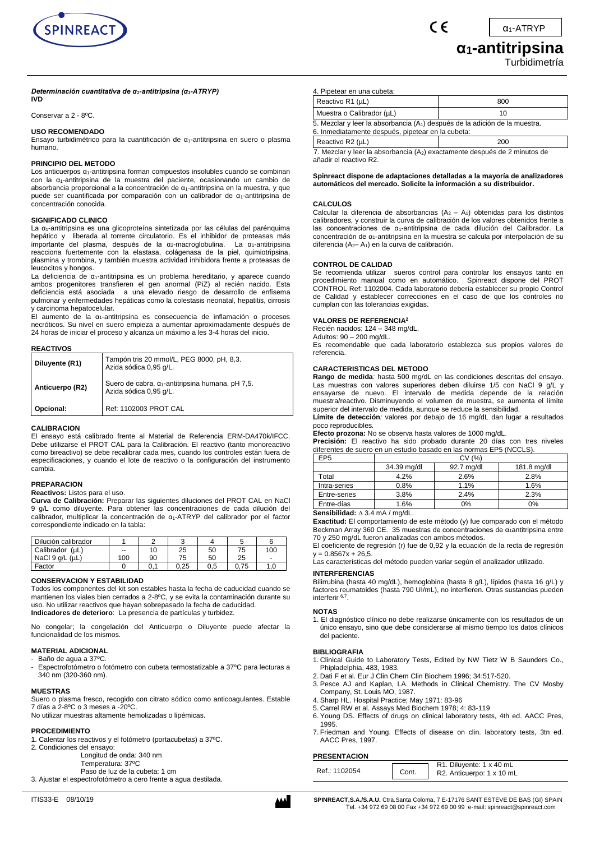

 $\epsilon$ 

α1-ATRYP

# **α1-antitripsina**

Turbidimetría

# *Determinación cuantitativa de α1-antitripsina (α1-ATRYP)*

# **IVD**

Conservar a 2 - 8ºC.

#### **USO RECOMENDADO**

Ensayo turbidimétrico para la cuantificación de α1-antitripsina en suero o plasma humano.

#### **PRINCIPIO DEL METODO**

Los anticuerpos  $\alpha_1$ -antitripsina forman compuestos insolubles cuando se combinan con la α1-antitripsina de la muestra del paciente, ocasionando un cambio de absorbancia proporcional a la concentración de  $α_1$ -antitripsina en la muestra, y que puede ser cuantificada por comparación con un calibrador de α1-antitripsina de concentración conocida.

#### **SIGNIFICADO CLINICO**

La α1-antitripsina es una glicoproteína sintetizada por las células del parénquima hepático y liberada al torrente circulatorio. Es el inhibidor de proteasas más importante del plasma, después de la  $α_2$ -macroglobulina. La  $α_1$ -antitripsina reacciona fuertemente con la elastasa, colágenasa de la piel, quimiotripsina, plasmina y trombina, y también muestra actividad inhibidora frente a proteasas de leucocitos y hongos.

La deficiencia de α<sub>1</sub>-antitripsina es un problema hereditario, y aparece cuando ambos progenitores transfieren el gen anormal (PiZ) al recién nacido. Esta deficiencia está asociada a una elevado riesgo de desarrollo de enfisema pulmonar y enfermedades hepáticas como la colestasis neonatal, hepatitis, cirrosis y carcinoma hepatocelular.

El aumento de la  $\alpha_1$ -antitripsina es consecuencia de inflamación o procesos necróticos. Su nivel en suero empieza a aumentar aproximadamente después de 24 horas de iniciar el proceso y alcanza un máximo a les 3-4 horas del inicio.

#### **REACTIVOS**

| Diluyente (R1)  | Tampón tris 20 mmol/L, PEG 8000, pH, 8,3.<br>Azida sódica 0,95 g/L.                |  |  |  |
|-----------------|------------------------------------------------------------------------------------|--|--|--|
| Anticuerpo (R2) | Suero de cabra, $\alpha_1$ -antitripsina humana, pH 7,5.<br>Azida sódica 0,95 g/L. |  |  |  |
| Opcional:       | Ref: 1102003 PROT CAL                                                              |  |  |  |

#### **CALIBRACION**

El ensayo está calibrado frente al Material de Referencia ERM-DA470k/IFCC. Debe utilizarse el PROT CAL para la Calibración. El reactivo (tanto monoreactivo como bireactivo) se debe recalibrar cada mes, cuando los controles están fuera de especificaciones, y cuando el lote de reactivo o la configuración del instrumento cambia.

### **PREPARACION**

#### **Reactivos:** Listos para el uso.

**Curva de Calibración:** Preparar las siguientes diluciones del PROT CAL en NaCl 9 g/L como diluyente. Para obtener las concentraciones de cada dilución del calibrador, multiplicar la concentración de α1-ATRYP del calibrador por el factor correspondiente indicado en la tabla:

| Dilución calibrador     |       |    | u    |     |      |                |
|-------------------------|-------|----|------|-----|------|----------------|
| Calibrador<br>(uL)      | $- -$ | 10 | 25   | 50  | 75   | 100            |
| NaCl $9$ q/L ( $\mu$ L) | 100   | 90 | 75   | 50  | 25   | $\overline{a}$ |
| Factor                  |       |    | 0.25 | 0.5 | 0.75 | 0. ا           |

#### **CONSERVACION Y ESTABILIDAD**

Todos los componentes del kit son estables hasta la fecha de caducidad cuando se mantienen los viales bien cerrados a 2-8ºC, y se evita la contaminación durante su uso. No utilizar reactivos que hayan sobrepasado la fecha de caducidad. **Indicadores de deterioro**: La presencia de partículas y turbidez.

No congelar; la congelación del Anticuerpo o Diluyente puede afectar la funcionalidad de los mismos.

# **MATERIAL ADICIONAL**

- Baño de agua a 37ºC.
- Espectrofotómetro o fotómetro con cubeta termostatizable a 37°C para lecturas a 340 nm (320-360 nm).

#### **MUESTRAS**

Suero o plasma fresco, recogido con citrato sódico como anticoagulantes. Estable 7 días a 2-8ºC o 3 meses a -20ºC. No utilizar muestras altamente hemolizadas o lipémicas.

# **PROCEDIMIENTO**

- 1. Calentar los reactivos y el fotómetro (portacubetas) a 37ºC.
- 2. Condiciones del ensayo:
	- Longitud de onda: 340 nm Temperatura: 37ºC
	- Paso de luz de la cubeta: 1 cm
- 3. Ajustar el espectrofotómetro a cero frente a agua destilada.

|  |  |  | 3. Pesce AJ and Kaplan, LA. Methods in Clinical Chemistry. The CV Mosby |  |  |  |
|--|--|--|-------------------------------------------------------------------------|--|--|--|
|  |  |  |                                                                         |  |  |  |

- Pesce AJ and Kaplan, LA. M<br>Company, St. Louis MO, 1987.
- 4. Sharp HL. Hospital Practice; May 1971: 83-96
- 5. Carrel RW et al. Assays Med Biochem 1978; 4: 83-119
- 6. Young DS. Effects of drugs on clinical laboratory tests, 4th ed. AACC Pres, 1995.
- 7. Friedman and Young. Effects of disease on clin. laboratory tests, 3tn ed. AACC Pres, 1997.

#### **PRESENTACION**

| Ref.: 1102054 | R1. Diluyente: 1 x 40 mL  |
|---------------|---------------------------|
| Cont.         | R2. Anticuerpo: 1 x 10 mL |

el. +34 972 69 08 00 Fax +34 972 69 00 99 e-mail: spinreact@spin

| Reactivo R1 (µL)                                                                                                                             | 800 |  |  |  |  |
|----------------------------------------------------------------------------------------------------------------------------------------------|-----|--|--|--|--|
| Muestra o Calibrador (µL)                                                                                                                    | 10  |  |  |  |  |
| 5. Mezclar y leer la absorbancia (A <sub>1</sub> ) después de la adición de la muestra.<br>6. Inmediatamente después, pipetear en la cubeta: |     |  |  |  |  |
| Reactivo R2 (µL)                                                                                                                             | 200 |  |  |  |  |
| 7. Mezclar y leer la absorbancia $(A_2)$ exactamente después de 2 minutos de<br>añadir el reactivo R2.                                       |     |  |  |  |  |

**Spinreact dispone de adaptaciones detalladas a la mayoría de analizadores automáticos del mercado. Solicite la información a su distribuidor.**

# **CALCULOS**

Calcular la diferencia de absorbancias  $(A_2 - A_1)$  obtenidas para los distintos calibradores, y construir la curva de calibración de los valores obtenidos frente a las concentraciones de  $α_1$ -antitripsina de cada dilución del Calibrador. La concentración de α1-antitripsina en la muestra se calcula por interpolación de su diferencia  $(A_2 - A_1)$  en la curva de calibración.

#### **CONTROL DE CALIDAD**

4. Pipetear en una cubeta:

Se recomienda utilizar sueros control para controlar los ensayos tanto en procedimiento manual como en automático. Spinreact dispone del PROT CONTROL Ref: 1102004. Cada laboratorio debería establecer su propio Control de Calidad y establecer correcciones en el caso de que los controles no cumplan con las tolerancias exigidas.

#### **VALORES DE REFERENCIA<sup>2</sup>**

Recién nacidos: 124 – 348 mg/dL.

Adultos: 90 – 200 mg/dL.

Es recomendable que cada laboratorio establezca sus propios valores de referencia.

#### **CARACTERISTICAS DEL METODO**

**Rango de medida***:* hasta 500 mg/dL en las condiciones descritas del ensayo. Las muestras con valores superiores deben diluirse 1/5 con NaCl 9 g/L y ensayarse de nuevo. El intervalo de medida depende de la relación muestra/reactivo. Disminuyendo el volumen de muestra, se aumenta el límite superior del intervalo de medida, aunque se reduce la sensibilidad.

**Límite de detección***:* valores por debajo de 16 mg/dL dan lugar a resultados poco reproducibles*.*

**Efecto prozona:** No se observa hasta valores de 1000 mg/dL.

**Precisión:** El reactivo ha sido probado durante 20 días con tres niveles diferentes de suero en un estudio basado en las normas EP5 (NCCLS).

| EP <sub>5</sub> | CV (%)      |            |             |  |  |  |  |  |
|-----------------|-------------|------------|-------------|--|--|--|--|--|
|                 | 34.39 mg/dl | 92.7 mg/dl | 181.8 mg/dl |  |  |  |  |  |
| Total           | 4.2%        | 2.6%       | 2.8%        |  |  |  |  |  |
| Intra-series    | 0.8%        | 1.1%       | 1.6%        |  |  |  |  |  |
| Entre-series    | 3.8%        | 2.4%       | 2.3%        |  |  |  |  |  |
| Entre-días      | 1.6%        | 0%         | 0%          |  |  |  |  |  |
|                 |             |            |             |  |  |  |  |  |

Sensibilidad:  $\triangle$  3.4 mA / mg/dL

**Exactitud:** El comportamiento de este método (y) fue comparado con el método Beckman Array 360 CE. 35 muestras de concentraciones de α<sub>1</sub>antitripsina entre 70 y 250 mg/dL fueron analizadas con ambos métodos.

El coeficiente de regresión (r) fue de 0,92 y la ecuación de la recta de regresión  $y = 0.8567x + 26,5$ .

Las características del método pueden variar según el analizador utilizado.

#### **INTERFERENCIAS**

Bilirrubina (hasta 40 mg/dL), hemoglobina (hasta 8 g/L), lípidos (hasta 16 g/L) y factores reumatoides (hasta 790 UI/mL), no interfieren. Otras sustancias pueden interferir 6,7 .

#### **NOTAS**

1. El diagnóstico clínico no debe realizarse únicamente con los resultados de un único ensayo, sino que debe considerarse al mismo tiempo los datos clínicos del paciente.

#### **BIBLIOGRAFIA**

1. Clinical Guide to Laboratory Tests, Edited by NW Tietz W B Saunders Co., Phipladelphia, 483, 1983. 2. Dati F et al. Eur J Clin Chem Clin Biochem 1996; 34:517-520.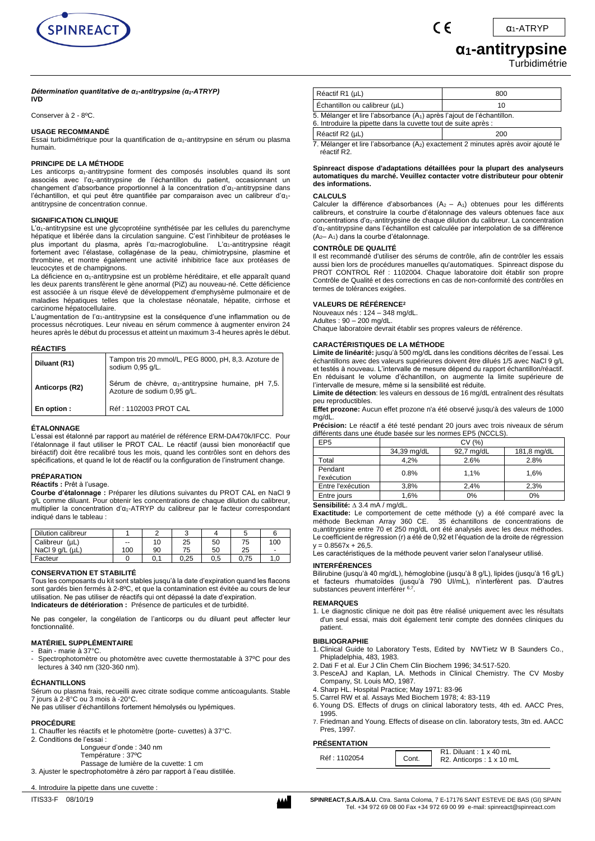

α1-ATRYP

# **α1-antitrypsine**

Turbidimétrie

# *Détermination quantitative de α1-antitrypsine (α1-ATRYP)*

**IVD**

Conserver à 2 - 8ºC.

#### **USAGE RECOMMANDÉ**

Essai turbidimétrique pour la quantification de  $\alpha_1$ -antitrypsine en sérum ou plasma humain.

### **PRINCIPE DE LA MÉTHODE**

Les anticorps  $\alpha_1$ -antitrypsine forment des composés insolubles quand ils sont associés avec l'α1-antitrypsine de l'échantillon du patient, occasionnant un changement d'absorbance proportionnel à la concentration d'α<sub>1</sub>-antitrypsine dans l'échantillon, et qui peut être quantifiée par comparaison avec un calibreur d'α1 antitrypsine de concentration connue.

#### **SIGNIFICATION CLINIQUE**

L'α1-antitrypsine est une glycoprotéine synthétisée par les cellules du parenchyme hépatique et libérée dans la circulation sanguine. C'est l'inhibiteur de protéases le plus important du plasma, après l'α2-macroglobuline. L'α1-antitrypsine réagit fortement avec l'élastase, collagénase de la peau, chimiotrypsine, plasmine et thrombine, et montre également une activité inhibitrice face aux protéases de leucocytes et de champignons.

La déficience en α<sub>1</sub>-antitrypsine est un problème héréditaire, et elle apparaît quand les deux parents transfèrent le gène anormal (PiZ) au nouveau-né. Cette déficience est associée à un risque élevé de développement d'emphysème pulmonaire et de maladies hépatiques telles que la cholestase néonatale, hépatite, cirrhose et carcinome hépatocellulaire.

L'augmentation de l'α1-antitrypsine est la conséquence d'une inflammation ou de processus nécrotiques. Leur niveau en sérum commence à augmenter environ 24 heures après le début du processus et atteint un maximum 3-4 heures après le début.

#### **RÉACTIFS**

| Diluant (R1)   | Tampon tris 20 mmol/L, PEG 8000, pH, 8,3. Azoture de<br>sodium 0,95 g/L.                  |
|----------------|-------------------------------------------------------------------------------------------|
| Anticorps (R2) | Sérum de chèvre, $\alpha_1$ -antitrypsine humaine, pH 7,5.<br>Azoture de sodium 0,95 q/L. |
| En option :    | Réf : 1102003 PROT CAL                                                                    |

#### **ÉTALONNAGE**

L'essai est étalonné par rapport au matériel de référence ERM-DA470k/IFCC. Pour l'étalonnage il faut utiliser le PROT CAL. Le réactif (aussi bien monoréactif que biréactif) doit être recalibré tous les mois, quand les contrôles sont en dehors des spécifications, et quand le lot de réactif ou la configuration de l'instrument change.

#### **PRÉPARATION**

# **Réactifs :** Prêt à l'usage.

**Courbe d'étalonnage :** Préparer les dilutions suivantes du PROT CAL en NaCl 9 g/L comme diluant. Pour obtenir les concentrations de chaque dilution du calibreur, multiplier la concentration d'α1-ATRYP du calibreur par le facteur correspondant indiqué dans le tableau :

| Dilution calibreur |                          | $\sim$ |      |     |      |                |
|--------------------|--------------------------|--------|------|-----|------|----------------|
| Calibreur (µL)     | $\overline{\phantom{a}}$ | 10     | 25   | 50  | 75   | 100            |
| NaCl 9 g/L (µL)    | 100                      | 90     | 75   | 50  | 25   | $\blacksquare$ |
| Facteur            |                          | 0.1    | 0.25 | 0.5 | 0.75 | 1.0            |

#### **CONSERVATION ET STABILITÉ**

Tous les composants du kit sont stables jusqu'à la date d'expiration quand les flacons sont gardés bien fermés à 2-8ºC, et que la contamination est évitée au cours de leur utilisation. Ne pas utiliser de réactifs qui ont dépassé la date d'expiration. **Indicateurs de détérioration :** Présence de particules et de turbidité.

Ne pas congeler, la congélation de l'anticorps ou du diluant peut affecter leur fonctionnalité.

# **MATÉRIEL SUPPLÉMENTAIRE**

- Bain marie à 37°C.
- Spectrophotomètre ou photomètre avec cuvette thermostatable à 37°C pour des lectures à 340 nm (320-360 nm).

### **ÉCHANTILLONS**

Sérum ou plasma frais, recueilli avec citrate sodique comme anticoagulants. Stable 7 jours à 2-8°C ou 3 mois à -20°C.

Ne pas utiliser d'échantillons fortement hémolysés ou lypémiques.

# **PROCÉDURE**

1. Chauffer les réactifs et le photomètre (porte- cuvettes) à 37°C.

- 2. Conditions de l'essai :
	- Longueur d'onde : 340 nm
	- Température : 37ºC Passage de lumière de la cuvette: 1 cm
- 3. Ajuster le spectrophotomètre à zéro par rapport à l'eau distillée.

4. Introduire la pipette dans une cuvette :

| Réactif R1 (µL)               |                                                                                                                                                      | 800 |  |
|-------------------------------|------------------------------------------------------------------------------------------------------------------------------------------------------|-----|--|
| Échantillon ou calibreur (µL) |                                                                                                                                                      | 10  |  |
|                               | 5. Mélanger et lire l'absorbance (A <sub>1</sub> ) après l'ajout de l'échantillon.<br>6. Introduire la pipette dans la cuvette tout de suite après : |     |  |
|                               | Réactif R2 (µL)                                                                                                                                      | 200 |  |

 $\epsilon$ 

7. Mélanger et lire l'absorbance (A2) exactement 2 minutes après avoir ajouté le réactif R2.

#### **Spinreact dispose d'adaptations détaillées pour la plupart des analyseurs automatiques du marché. Veuillez contacter votre distributeur pour obtenir des informations.**

#### **CALCULS**

Calculer la différence d'absorbances  $(A_2 - A_1)$  obtenues pour les différents calibreurs, et construire la courbe d'étalonnage des valeurs obtenues face aux concentrations d'α1-antitrypsine de chaque dilution du calibreur. La concentration d'α1-antitrypsine dans l'échantillon est calculée par interpolation de sa différence  $(A<sub>2</sub>– A<sub>1</sub>)$  dans la courbe d'étalonnage.

#### **CONTRÔLE DE QUALITÉ**

Il est recommandé d'utiliser des sérums de contrôle, afin de contrôler les essais aussi bien lors de procédures manuelles qu'automatiques. Spinreact dispose du PROT CONTROL Réf : 1102004. Chaque laboratoire doit établir son propre Contrôle de Qualité et des corrections en cas de non-conformité des contrôles en termes de tolérances exigées.

#### **VALEURS DE RÉFÉRENCE<sup>2</sup>**

Nouveaux nés : 124 – 348 mg/dL.

Adultes : 90 – 200 mg/dL. Chaque laboratoire devrait établir ses propres valeurs de référence.

# **CARACTÉRISTIQUES DE LA MÉTHODE**

**Limite de linéarité:** jusqu'à 500 mg/dL dans les conditions décrites de l'essai. Les échantillons avec des valeurs supérieures doivent être dilués 1/5 avec NaCl 9 g/L et testés à nouveau. L'intervalle de mesure dépend du rapport échantillon/réactif. En réduisant le volume d'échantillon, on augmente la limite supérieure de l'intervalle de mesure, même si la sensibilité est réduite.

**Limite de détection**: les valeurs en dessous de 16 mg/dL entraînent des résultats peu reproductibles.

**Effet prozone:** Aucun effet prozone n'a été observé jusqu'à des valeurs de 1000 mg/dL.

**Précision:** Le réactif a été testé pendant 20 jours avec trois niveaux de sérum différents dans une étude basée sur les normes EP5 (NCCLS).

| EP <sub>5</sub>        | CV(%)       |            |             |  |
|------------------------|-------------|------------|-------------|--|
|                        | 34,39 mg/dL | 92,7 mg/dL | 181,8 mg/dL |  |
| Total                  | 4.2%        | 2.6%       | 2.8%        |  |
| Pendant<br>l'exécution | 0.8%        | 1.1%       | 1.6%        |  |
| Entre l'exécution      | 3.8%        | 2.4%       | 2.3%        |  |
| Entre jours            | 1.6%        | 0%         | 0%          |  |

#### Sensibilité:  $\triangle$  3.4 mA / mg/dL.

**Exactitude:** Le comportement de cette méthode (y) a été comparé avec la méthode Beckman Array 360 CE. 35 échantillons de concentrations de α1antitrypsine entre 70 et 250 mg/dL ont été analysés avec les deux méthodes. Le coefficient de régression (r) a été de 0,92 et l'équation de la droite de régression  $y = 0.8567x + 26,5$ .

Les caractéristiques de la méthode peuvent varier selon l'analyseur utilisé.

#### **INTERFÉRENCES**

Bilirubine (jusqu'à 40 mg/dL), hémoglobine (jusqu'à 8 g/L), lipides (jusqu'à 16 g/L) et facteurs rhumatoïdes (jusqu'à 790 UI/mL), n'interfèrent pas. D'autres<br>substances peuvent interférer <sup>6,7</sup>.

#### **REMARQUES**

1. Le diagnostic clinique ne doit pas être réalisé uniquement avec les résultats d'un seul essai, mais doit également tenir compte des données cliniques du patient.

#### **BIBLIOGRAPHIE**

- 1. Clinical Guide to Laboratory Tests, Edited by NWTietz W B Saunders Co., Phipladelphia, 483, 1983.
- 2. Dati F et al. Eur J Clin Chem Clin Biochem 1996; 34:517-520.
	- 3. PesceAJ and Kaplan, LA. Methods in Clinical Chemistry. The CV Mosby Company, St. Louis MO, 1987.
	- 4. Sharp HL. Hospital Practice; May 1971: 83-96
- 5. Carrel RW et al. Assays Med Biochem 1978; 4: 83-119
- 6. Young DS. Effects of drugs on clinical laboratory tests, 4th ed. AACC Pres, 1995.
- 7. Friedman and Young. Effects of disease on clin. laboratory tests, 3tn ed. AACC Pres, 1997.

#### **PRÉSENTATION**

| Réf: 1102054 | R1. Diluant: $1 \times 40$ mL |
|--------------|-------------------------------|
| Cont.        | R2. Anticorps: 1 x 10 mL      |